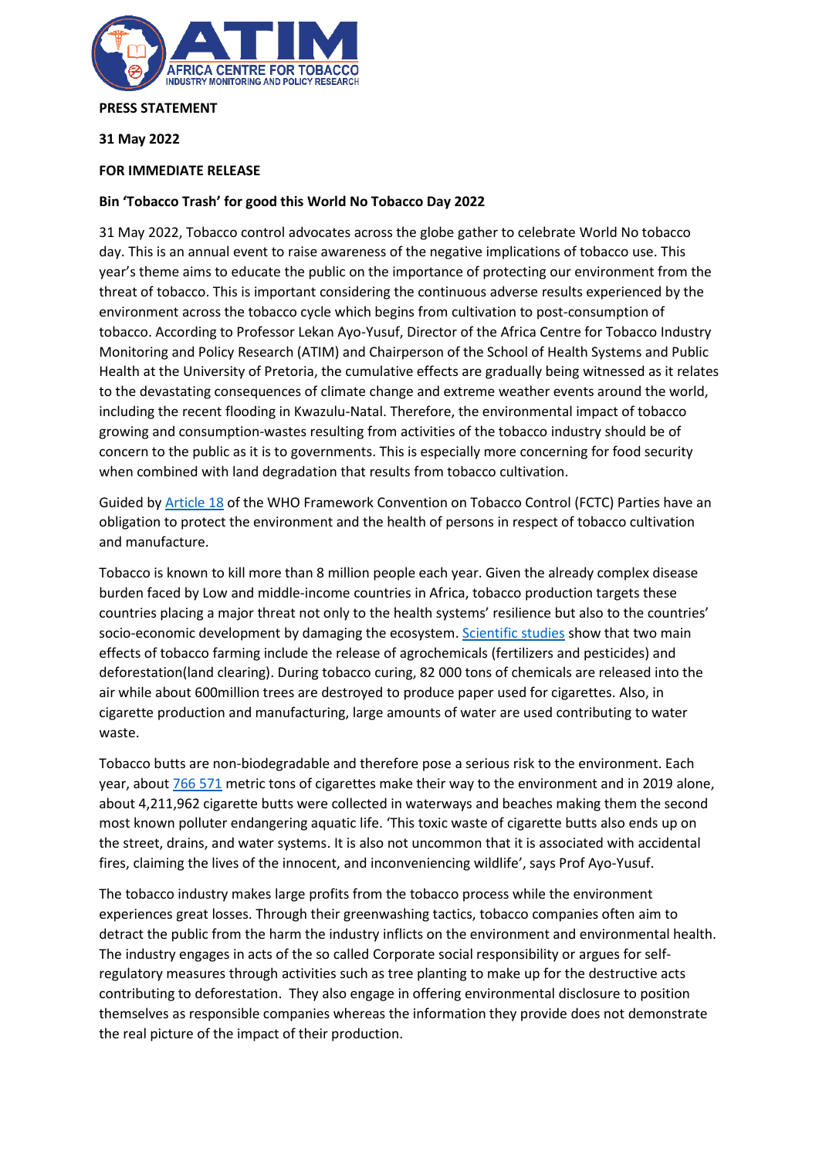

## **PRESS STATEMENT**

**31 May 2022**

## **FOR IMMEDIATE RELEASE**

## **Bin 'Tobacco Trash' for good this World No Tobacco Day 2022**

31 May 2022, Tobacco control advocates across the globe gather to celebrate World No tobacco day. This is an annual event to raise awareness of the negative implications of tobacco use. This year's theme aims to educate the public on the importance of protecting our environment from the threat of tobacco. This is important considering the continuous adverse results experienced by the environment across the tobacco cycle which begins from cultivation to post-consumption of tobacco. According to Professor Lekan Ayo-Yusuf, Director of the Africa Centre for Tobacco Industry Monitoring and Policy Research (ATIM) and Chairperson of the School of Health Systems and Public Health at the University of Pretoria, the cumulative effects are gradually being witnessed as it relates to the devastating consequences of climate change and extreme weather events around the world, including the recent flooding in Kwazulu-Natal. Therefore, the environmental impact of tobacco growing and consumption-wastes resulting from activities of the tobacco industry should be of concern to the public as it is to governments. This is especially more concerning for food security when combined with land degradation that results from tobacco cultivation.

Guided by [Article 18](file:///C:/Users/Kgomotso.Kali/Downloads/WHO-FCTC-Article-17-18%20(1).pdf) of the WHO Framework Convention on Tobacco Control (FCTC) Parties have an obligation to protect the environment and the health of persons in respect of tobacco cultivation and manufacture.

Tobacco is known to kill more than 8 million people each year. Given the already complex disease burden faced by Low and middle-income countries in Africa, tobacco production targets these countries placing a major threat not only to the health systems' resilience but also to the countries' socio-economic development by damaging the ecosystem. [Scientific studies](http://catalogue.safaids.net/sites/default/files/publications/Impact%20of%20Tobacco%20Use%20on%20Health.pdf) show that two main effects of tobacco farming include the release of agrochemicals (fertilizers and pesticides) and deforestation(land clearing). During tobacco curing, 82 000 tons of chemicals are released into the air while about 600million trees are destroyed to produce paper used for cigarettes. Also, in cigarette production and manufacturing, large amounts of water are used contributing to water waste.

Tobacco butts are non-biodegradable and therefore pose a serious risk to the environment. Each year, abou[t 766](https://truthinitiative.org/research-resources/harmful-effects-tobacco/tobacco-and-environment) 571 metric tons of cigarettes make their way to the environment and in 2019 alone, about 4,211,962 cigarette butts were collected in waterways and beaches making them the second most known polluter endangering aquatic life. 'This toxic waste of cigarette butts also ends up on the street, drains, and water systems. It is also not uncommon that it is associated with accidental fires, claiming the lives of the innocent, and inconveniencing wildlife', says Prof Ayo-Yusuf.

The tobacco industry makes large profits from the tobacco process while the environment experiences great losses. Through their greenwashing tactics, tobacco companies often aim to detract the public from the harm the industry inflicts on the environment and environmental health. The industry engages in acts of the so called Corporate social responsibility or argues for selfregulatory measures through activities such as tree planting to make up for the destructive acts contributing to deforestation. They also engage in offering environmental disclosure to position themselves as responsible companies whereas the information they provide does not demonstrate the real picture of the impact of their production.